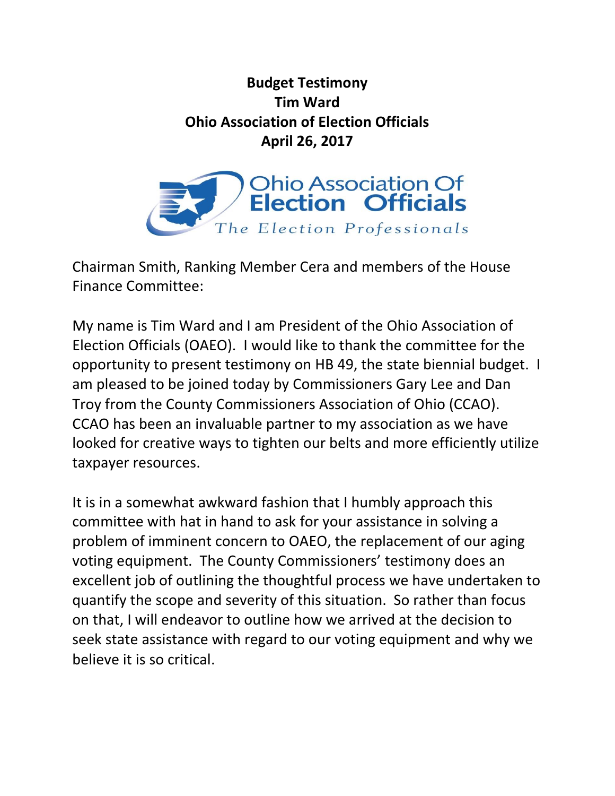## **Budget Testimony Tim Ward Ohio Association of Election Officials April 26, 2017**



Chairman Smith, Ranking Member Cera and members of the House Finance Committee:

My name is Tim Ward and I am President of the Ohio Association of Election Officials (OAEO). I would like to thank the committee for the opportunity to present testimony on HB 49, the state biennial budget. I am pleased to be joined today by Commissioners Gary Lee and Dan Troy from the County Commissioners Association of Ohio (CCAO). CCAO has been an invaluable partner to my association as we have looked for creative ways to tighten our belts and more efficiently utilize taxpayer resources.

It is in a somewhat awkward fashion that I humbly approach this committee with hat in hand to ask for your assistance in solving a problem of imminent concern to OAEO, the replacement of our aging voting equipment. The County Commissioners' testimony does an excellent job of outlining the thoughtful process we have undertaken to quantify the scope and severity of this situation. So rather than focus on that, I will endeavor to outline how we arrived at the decision to seek state assistance with regard to our voting equipment and why we believe it is so critical.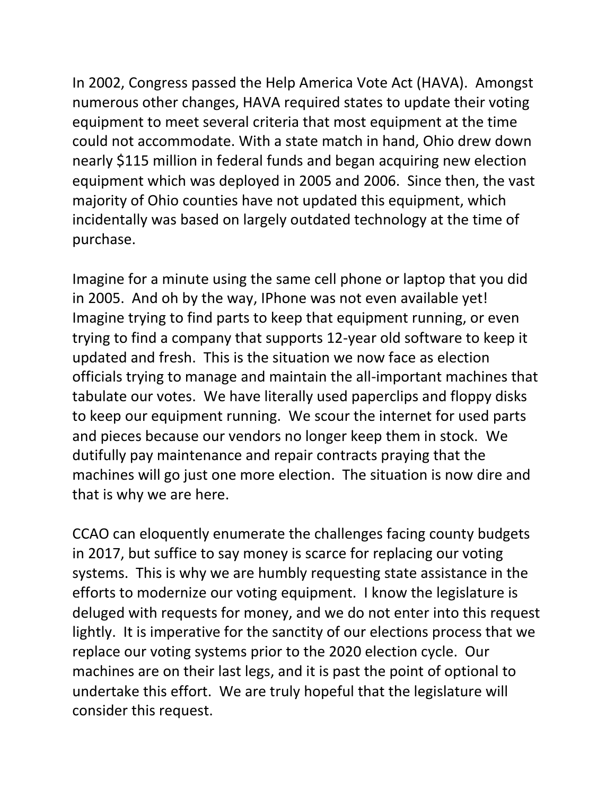In 2002, Congress passed the Help America Vote Act (HAVA). Amongst numerous other changes, HAVA required states to update their voting equipment to meet several criteria that most equipment at the time could not accommodate. With a state match in hand, Ohio drew down nearly \$115 million in federal funds and began acquiring new election equipment which was deployed in 2005 and 2006. Since then, the vast majority of Ohio counties have not updated this equipment, which incidentally was based on largely outdated technology at the time of purchase.

Imagine for a minute using the same cell phone or laptop that you did in 2005. And oh by the way, IPhone was not even available yet! Imagine trying to find parts to keep that equipment running, or even trying to find a company that supports 12-year old software to keep it updated and fresh. This is the situation we now face as election officials trying to manage and maintain the all-important machines that tabulate our votes. We have literally used paperclips and floppy disks to keep our equipment running. We scour the internet for used parts and pieces because our vendors no longer keep them in stock. We dutifully pay maintenance and repair contracts praying that the machines will go just one more election. The situation is now dire and that is why we are here.

CCAO can eloquently enumerate the challenges facing county budgets in 2017, but suffice to say money is scarce for replacing our voting systems. This is why we are humbly requesting state assistance in the efforts to modernize our voting equipment. I know the legislature is deluged with requests for money, and we do not enter into this request lightly. It is imperative for the sanctity of our elections process that we replace our voting systems prior to the 2020 election cycle. Our machines are on their last legs, and it is past the point of optional to undertake this effort. We are truly hopeful that the legislature will consider this request.